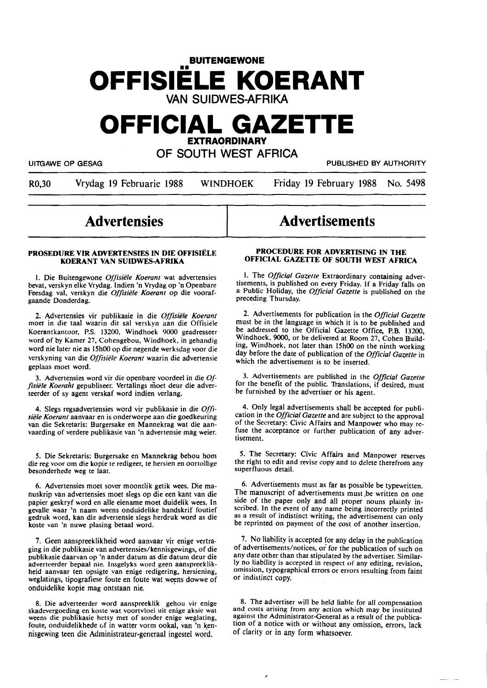# **BUITENGEWONE**  •• **OFFISIELE KOERANT**  VAN SUIDWES-AFRIKA

# **OFFICIAL GAZETTE EXTRAORDINARY**

OF SOUTH WEST AFRICA

UITGAWE OP GESAG PUBLISHED BY AUTHORITY

R0,30 Vrydag 19 Februarie 1988 WINDHOEK Friday 19 February 1988 No. 5498

# **Advertensies**

#### **PROSEDURE VIR ADVERTENSIES IN DIE OFFISIELE KOERANT VAN SUIDWES-AFRIKA**

I. Die Buitengewone *Offisiele Koerant* wat advertensies bevat, verskyn elke Vrydag. Indien 'n Vrydag op 'n Openbare Feesdag val, verskyn die *Offisiële Koerant* op die voorafgaande Donderdag.

2. Advertensies vir publikasie in die *Offisiele Koerant*  moet in die taal waarin dit sal verskyn aan die Offisiele Koerantkantoor, P.S. 13200, Windhoek 9000 geadresseer word of by Kamer 27, Cohengebou, Windhoek, in gehandig word nie later nie as 15h00 op die negende werksdag voor die verskyning van die *Offisiele Koerant* waarin die advertensie geplaas moet word.

3. Advertensies word vir die openbare voordeel in die *Offisiële Koerant* gepubliseer. Vertalings moet deur die adverteerder of sy agent verskaf word indien verlang.

4. Slegs regsadvertensies word vir publikasie in die *Offisiele Koerant* aanvaar en is onderworpe aan die goedkeuring van die Sekretaris: Burgersake en Mannekrag wat die aanvaarding of verdere publikasie van 'n advertensie mag weier.

*5.* Die Sekretaris: Burgersake en Mannekrag behou horn die reg voor om die kopie te redigeer, te hersien en oortollige besonderhede weg te laat.

6. Advertensies moet sover moontlik getik wees. Die manuskrip van advertensies moet slegs op die een kant van die papier geskryf word en alle eiename moet duidelik wees. In gevalle waar 'n naam weens onduidelike handskrif foutief gedruk word, kan die advertensie slegs herdruk word as die koste van 'n nuwe plasing betaal word.

7. Geen aanspreeklikheid word aanvaar vir enige vertra• ging in die publikasie van advertensies/kennisgewings, of die publikasie daarvan op 'n ander datum as die datum deur die adverteerder bepaal nie. Insgelyks word geen aanspreeklikheid aanvaar ten opsigte van enige redigering, hersiening, weglatings, tipografiese foute en foute wat weens dowwe of onduidelike kopie mag ontstaan nie. ·

8. Die adverteerder word aanspreeklik gehou vir enige skadevergoeding en koste wat voortvloei uit enige aksie wat skadevergoeding en koste wat voortvloei uit enige weglating, weens die publikasie hetsy met of sonder enige weglating, foute, onduidelikhede of in watter vorm ookal, van 'n kennisgewing teen die Administrateur-generaal ingestel word.

# **Advertisements**

#### **PROCEDURE FOR ADVERTISING IN THE OFFICIAL GAZETTE OF SOUTH WEST AFRICA**

I. The *Official Gazette* Extraordinary containing advertisements, is published on every Friday. If a Friday falls on a Public Holiday, the *Official Gazette* is published on the preceding Thursday.

2. Advertisements for publication in the *Official Gazette*  must be in the language in which it is to be published and be addressed to the Official Gazette Office, P.B. 13200, Windhoek, **9000,** or be delivered at Room 27, Cohen Building, Windhoek, not later than 15h00 on the ninth working day before the date of publication of the *Official Gazette* in which the advertisement is to be inserted.

3. Advertisements are published in the *Official Gazette*  for the benefit of the public. Translations, if desired, must be furnished by the advertiser or his agent.

4. Only legal advertisements shall be accepted for publication in the *Official Gazette* and are subject to the approval of the Secretary: Civic Affairs and Manpower who may refuse the acceptance or further publication of any advertisement.

*5.* **The Secretary:** Civic **Affairs** and Manpower reserves the right to edit and revise copy and to delete therefrom any superfluous detail.

6. Advertisements must as far as possible be typewritten. The manuscript of advertisements must be written on one side of the paper only and all proper nouns plainly inscribed. In the event of any name being incorrectly printed as a result of indistinct writing, the advertisement can only be reprinted on payment of the cost of another insertion.

7. No liability is accepted for any delay in the publication of advertisements/notices, or for the publication of such on any date other than that stipulated by the advertiser. Similarly no liability is accepted in respect of any editing, revision, omission, typographical errors or errors resulting from faint or indistinct copy.

8. The advertiser will be held liable for all compensation and costs arising from any action which may be instituted against the Administrator-General as a result of the publication of a notice with or without any omission, errors, lack of clarity or in any form whatsoever.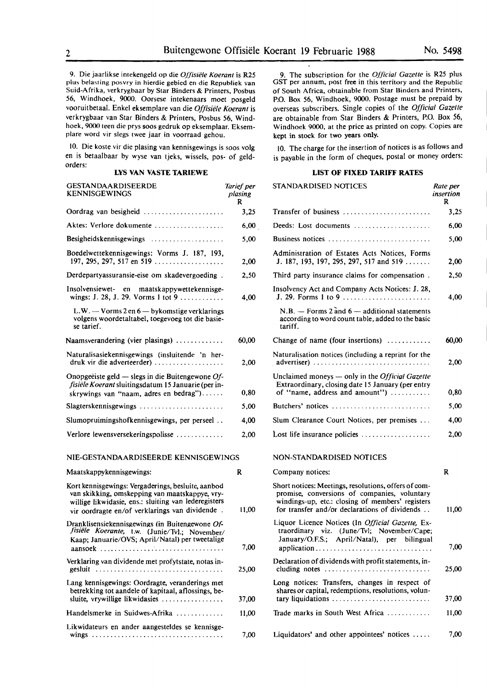9. Die jaarlikse intekengeld op die *Offisiele Koerant* is **R25**  plus belasting posvry in hierdie gebied en die Republiek van Suid-Afrika, verkrygbaar by Star Binders & Printers, Posbus 56, Windhoek, 9000. Oorsese intekenaars moet posgeld vooruitbetaal. Enkel eksemplare van die Offisiële Koerant is verkrygbaar van Star Binders & Printers, Posbus 56, Windhoek, 9000 teen die prys soos gedruk op eksemplaar. Eksemplare word vir slegs twee jaar in voorraad gehou.

10. Die koste vir die plasing van kennisgewings is soos volg en is betaalbaar by wyse van tjeks, wissels, pos- of geldorders:

#### **LYS VAN VASTE TARIEWE**

| GESTANDAARDISEERDE<br><b>KENNISGEWINGS</b>                                                                                                                                                                     | Tarief per<br>plasing<br>R |
|----------------------------------------------------------------------------------------------------------------------------------------------------------------------------------------------------------------|----------------------------|
| Oordrag van besigheid                                                                                                                                                                                          | 3,25                       |
| Aktes: Verlore dokumente                                                                                                                                                                                       | 6,00                       |
| Besigheidskennisgewings                                                                                                                                                                                        | 5,00                       |
| Boedelwettekennisgewings: Vorms J. 187, 193,<br>197, 295, 297, 517 en 519                                                                                                                                      | 2,00                       |
| Derdepartyassuransie-eise om skadevergoeding.                                                                                                                                                                  | 2,50                       |
| Insolvensiewet- en maatskappywettekennisge-<br>wings: J. 28, J. 29. Vorms 1 tot 9                                                                                                                              | 4,00                       |
| L.W. - Vorms 2 en 6 - bykomstige verklarings<br>volgens woordetaltabel, toegevoeg tot die basie-<br>se tarief.                                                                                                 |                            |
| Naamsverandering (vier plasings)                                                                                                                                                                               | 60,00                      |
| Naturalisasiekennisgewings (insluitende 'n her-<br>druk vir die adverteerder)                                                                                                                                  | 2,00                       |
| Onopgeëiste geld — slegs in die Buitengewone $Of$ -<br>fisiële Koerant sluitingsdatum 15 Januarie (per in-<br>skrywings van "naam, adres en bedrag")                                                           | 0,80                       |
| Slagterskennisgewings                                                                                                                                                                                          | 5,00                       |
| Slumopruimingshofkennisgewings, per perseel                                                                                                                                                                    | 4,00                       |
| Verlore lewensversekeringspolisse                                                                                                                                                                              | 2,00                       |
| NIE-GESTANDAARDISEERDE KENNISGEWINGS                                                                                                                                                                           |                            |
| Maatskappykennisgewings:                                                                                                                                                                                       | R                          |
| Kort kennisgewings: Vergaderings, besluite, aanbod<br>van skikking, omskepping van maatskappye, vry-<br>willige likwidasie, ens.: sluiting van lederegisters<br>vir oordragte en/of verklarings van dividende. | 11,00                      |
| Dranklisensiekennisgewings (in Buitengewone Of-<br>fisiële Koerante, t.w. (Junie/Tvl.; November/<br>Kaap; Januarie/OVS; April/Natal) per tweetalige                                                            | 7,00                       |
| Verklaring van dividende met profytstate, notas in-<br>gesluit                                                                                                                                                 | 25,00                      |
| Lang kennisgewings: Oordragte, veranderings met<br>betrekking tot aandele of kapitaal, aflossings, be-<br>sluite, vrywillige likwidasies                                                                       | 37,00                      |
| Handelsmerke in Suidwes-Afrika                                                                                                                                                                                 | 11,00                      |
| Likwidateurs en ander aangesteldes se kennisge-                                                                                                                                                                | 7,00                       |

9. The subscription for the *Official Gazette* is R25 plus GST per annum, post free in this territory and the Republic of South Africa, obtainable from Star Binders and Printers, P.O. Box 56, Windhoek, 9000. Postage must be prepaid by overseas subscribers. Single copies of the *Official Gazette* are obtainable from Star Binders & Printers, P.O. Box 56, Windhoek 9000, at the price as printed on copy. Copies are kept in stock for two years only.

IO. The charge for the insertion of notices is as follows and is payable in the form of cheques, postal or money orders:

#### **LIST OF FIXED TARIFF RATES**

| er<br>g  | STANDARDISED NOTICES                                                                                                                                                                                      | Rate per<br>insertion<br>R |
|----------|-----------------------------------------------------------------------------------------------------------------------------------------------------------------------------------------------------------|----------------------------|
| 25       | Transfer of business                                                                                                                                                                                      | 3,25                       |
| 00       | Deeds: Lost documents                                                                                                                                                                                     | 6,00                       |
| 00       | Business notices                                                                                                                                                                                          | 5,00                       |
| 00       | Administration of Estates Acts Notices, Forms<br>J. 187, 193, 197, 295, 297, 517 and 519                                                                                                                  | 2,00                       |
| 50       | Third party insurance claims for compensation.                                                                                                                                                            | 2,50                       |
| 00       | Insolvency Act and Company Acts Notices: J. 28,                                                                                                                                                           | 4,00                       |
|          | $N.B.$ - Forms 2 and 6 - additional statements<br>according to word count table, added to the basic<br>tariff.                                                                                            |                            |
| 00       | Change of name (four insertions) $\dots\dots\dots$                                                                                                                                                        | 60,00                      |
| 00       | Naturalisation notices (including a reprint for the<br>advertiser)                                                                                                                                        | 2,00                       |
| 80       | Unclaimed moneys - only in the Official Gazette<br>Extraordinary, closing date 15 January (per entry<br>of "name, address and amount")                                                                    | 0,80                       |
| 00       | Butchers' notices                                                                                                                                                                                         | 5,00                       |
| 00       | Slum Clearance Court Notices, per premises                                                                                                                                                                | 4,00                       |
| $\infty$ | Lost life insurance policies $\dots\dots\dots\dots\dots\dots$                                                                                                                                             | 2,00                       |
|          | NON-STANDARDISED NOTICES                                                                                                                                                                                  |                            |
|          | Company notices:                                                                                                                                                                                          | R                          |
| 00       | Short notices: Meetings, resolutions, offers of com-<br>promise, conversions of companies, voluntary<br>windings-up, etc.: closing of members' registers<br>for transfer and/or declarations of dividends | 11,00                      |
| 00       | Liquor Licence Notices (In Official Gazette, Ex-<br>traordinary viz.<br>(June/Tvl; November/Cape;<br>January/O.F.S.; April/Natal), per bilingual                                                          | 7,00                       |
| 00       | Declaration of dividends with profit statements, in-                                                                                                                                                      | 25,00                      |
|          | Long notices: Transfers, changes in respect of<br>shares or capital, redemptions, resolutions, volun-                                                                                                     |                            |
| 00       | tary liquidations                                                                                                                                                                                         | 37,00                      |
| 00       | Trade marks in South West Africa                                                                                                                                                                          | 11,00                      |
| $\infty$ | Liquidators' and other appointees' notices                                                                                                                                                                | 7,00                       |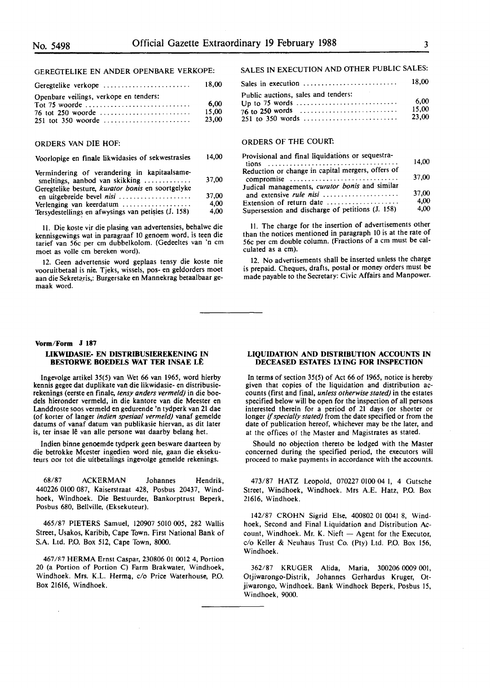#### GEREGTELIKE EN ANDER OPENBARE VERKOPE:

| Geregtelike verkope                                         | 18.00                  |
|-------------------------------------------------------------|------------------------|
| Openbare veilings, verkope en tenders:<br>76 tot 250 woorde | 6.00<br>15.00<br>23,00 |

#### ORDERS VAN DIE HOF:

#### Voorlopige en finale likwidasies of sekwestrasies 14,00

| Vermindering of verandering in kapitaalsame-<br>smeltings, aanbod van skikking $\ldots$ | 37,00 |
|-----------------------------------------------------------------------------------------|-------|
| Geregtelike besture, kurator bonis en soortgelyke                                       |       |
| en uitgebreide bevel <i>nisi</i>                                                        | 37,00 |
| Verlenging van keerdatum                                                                | 4.00  |
| Tersydestellings en afwysings van petisies (J. 158)                                     | 4.00  |

11. Die koste vir die plasing van advertensies, behalwe die kennisgewings wat in paragraaf IO genoem word. is teen die tarief van 56c per cm dubbelkolom. (Gedeeltes van 'n cm moet as voile cm bereken word).

12. Geen advertensie word geplaas tensy die koste nie vooruitbetaal is nie. Tjeks, wissels, pos- en geldorders moet aan die Sekretaris,: Burgersake en Mannekrag betaalbaar gemaak word.

#### **Vorm/Form J 187**

 $\bar{z}$ 

### **LIKWIDASIE- EN DISTRIBUSIEREKENING IN BES10RWE BOEDELS WAT TER INSAE LE**

lngevolge artikel 35(5) van Wet 66 van 1965, word hierby kennis gegee dat duplikate van die likwidasie- en distribusierekenings (eerste en finale, *tensy anders vermeld)* in die boedels hieronder vermeld, in die kantore van die Meester en Landdroste soos vermeld en gedurende 'n tydperk van 21 dae (of korter of !anger *indien spesiaal vermeld)* vanaf gemelde datums of vanaf datum van publikasie hiervan, as dit later is, ter insae lê van alle persone wat daarby belang het.

lndien binne genoemde tydperk geen besware daarteen by die betrokke Meester ingedien word nie, gaan die eksekuteurs oor tot die uitbetalings ingevolge gemelde rekenings.

68/87 ACKERMAN Johannes Hendrik, 440226 0100 087, Kaiserstraat 428, Posbus 20437, Windhoek, Windhoek. Die Bestuurder, Bankorptrust Beperk, Posbus 680, Bellville, (Eksekuteur).

465/87 PIETERS Samuel, 120907 5010 005, 282 Wallis Street, Usakos, Karibib, Cape Town. First National Bank of S.A. Ltd. P.O. Box 512, Cape Town, 8000.

467 /87 HERMA Ernst Caspar, 230806 01 0012 4, Portion 20 (a Portion of Portion C) Farm Brakwater, Windhoek, Windhoek. Mrs. K.L. Herma, c/o Price Waterhouse, P.O. Box 21616, Windhoek.

## SALES IN EXECUTION AND OTHER PUBLIC SALES:

|                                                                                                           | 18.00                  |
|-----------------------------------------------------------------------------------------------------------|------------------------|
| Public auctions, sales and tenders:<br>76 to 250 words $\ldots \ldots \ldots \ldots \ldots \ldots \ldots$ | 6.00<br>15.00<br>23.00 |

#### ORDERS OF THE COURT.

| Provisional and final liquidations or sequestra-                                     |       |
|--------------------------------------------------------------------------------------|-------|
| tions $\ldots \ldots \ldots \ldots \ldots \ldots \ldots \ldots \ldots \ldots \ldots$ | 14.00 |
| Reduction or change in capital mergers, offers of                                    |       |
| compromise                                                                           | 37,00 |
| Judical managements, curator bonis and similar                                       |       |
| and extensive rule nisi                                                              | 37,00 |
| Extension of return date                                                             | 4.00  |
| Supersession and discharge of petitions (J. 158)                                     | 4.00  |

II. The charge for the insertion of advertisements other than the notices mentioned in paragraph IO is at the rate of 56c per cm double column. (Fractions of a cm must be calculated as a cm).

12. No advertisements shall be inserted unless the charge is prepaid. Cheques, drafts, postal **or** money orders must be made payable to the Secretary: Civic Affairs and Manpower.

#### **LIQUIDATION AND DISTRIBUTION ACCOUNTS IN DECEASED ESTATES LYING FOR INSPECTION**

In terms of section 35(5) of Act 66 of 1965, notice is hereby given that copies of the liquidation and distribution accounts (first and final, *unless otherwise stated)* in the estates specified below will be open for the inspection of all persons interested therein for a period of 21 days (or shorter or longer if *specially stated)* from the date specified or from the date of publication hereof, whichever may be the later, and at the offices of the Master and Magistrates as stated.

Should no objection thereto be lodged with the Master concerned during the specified period, the executors will proceed to make payments in accordance with the accounts.

473/87 HATZ Leopold, 070227 0100 04 I, 4 Gutsche Street, Windhoek, Windhoek. Mrs A.E. Hatz, P.O. Box 21616, Windhoek.

142/87 CROHN Sigrid Else, 400802 01 0041 8, Windhoek, Second and Final Liquidation and Distribution Account, Windhoek. Mr. K. Nieft  $-$  Agent for the Executor, c/o Keller & Neuhaus Trust Co. (Pty) Ltd. P.O. Box 156, Windhoek.

362/87 KRUGER Alida, Maria, 300206 0009 001, Otjiwarongo-Distrik, Johannes Gerhardus Kruger, Otjiwarongo, Windhoek. Bank Windhoek Beperk, Posbus 15, Windhoek, 9000.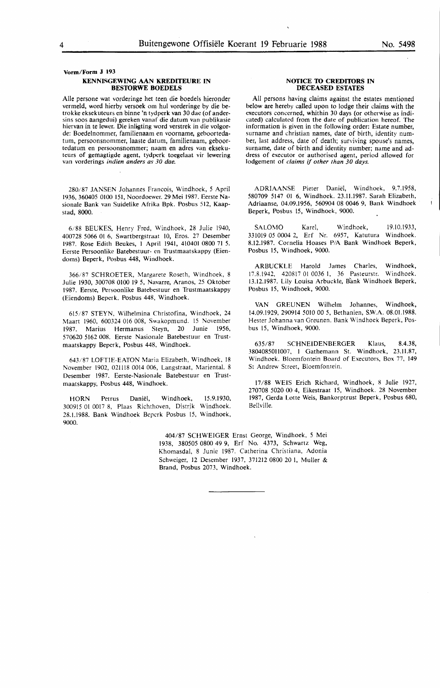**Vorm/Form J 193** 

#### **KENNISGEWING AAN KREDITEURE IN BESTORWE BOEDELS**

Alie persone wat vorderinge het teen die boedels hieronder vermeld, word hierby versoek om hul vorderinge by die betrokke eksekuteurs en binne 'n tydperk van 30 dae (of andersins soos aangedui) gereken vanaf die datum van publikasie hiervan in te lewer. Die inligting word verstrek in die volgorde: Boedelnommer, familienaam en voorname, geboortedatum, persoonsnommer, laaste datum, familienaam, geboortedatum en persoonsnommer; naam en adres van eksekuteurs of **gemagtigde** agent, tydperk toegelaat vir lewering van vorderings indien anders as 30 dae.

280/87 JANSEN Johannes Francois, Windhoek, 5 April 1936, 360405 0100 151, Noordoewer. 29 Mei 1987. Eerste Nasionale Bank van Suidelike Afrika Bpk. Posbus 512, Kaapstad, 8000.

6/88 BEUKES, Henry Fred, Windhoek, 28 Julie 1940, 400728 5066 01 6, Swartbergstraat IO, Eros. 27 Desember 1987. Rose Edith Beukes, I April 1941, 4l0401 0800 71 *5.*  Eerste Persoonlike Batebestuur• en Trustmaatskappy (Eiendoms) Beperk, Posbus 448, Windhoek.

366/87 SCHROETER, Margarete Roseth, Windhoek, 8 Julie 1930, 300708 0100 19 *5,* Navarre, Aranos, 25 Oktober 1987. Eerste, Persoonlike Batebestuur en Trustmaatskappy (Eiendoms) Beperk. Posbus 448, Windhoek.

615/87 STEYN, Wilhelmina Christofina, Windhoek, 24 Maart 1960, 600324 016 008, Swakopmund. 15 November . 1987. Marius Hermanus Steyn, 20 Junie 1956, 570620 5162 008. Eerste Nasionale Batebestuur en Trustmaatskappy Beperk, Posbus 448, Windhoek.

643/87 LOFTIE-EATON Maria Elizabeth, Windhoek, 18 November 1902, 021118 0014 006, Langstraat, Mariental. 8 Desember 1987. Eerste-Nasionale Batebestuur en Trustmaatskappy, Posbus 448, Windhoek.

HORN Petrus Daniel, Windhoek, 15.9.1930, 300915 01 0017 8, Plaas Richthoven, Distrjk Windhoek. 28.1.1988. Bank Windhoek Beperk Posbus 15, Windhoek, 9000.

#### **NOTICE TO CREDITORS IN DECEASED ESTATES**

All persons having claims against the estates mentioned below are hereby called upon to lodge their claims with the executors concerned, whithin 30 days (or otherwise as indicated) calculated from the date of publication hereof. The information is given in the following order: Estate number, surname and christian names, date of birth, identity number, last address, date of death; surviving spouse's names, surname, date of birth and identity number; name and address of executor or authorised agent, period allowed for lodgement of claims if other than 30 days.

ADRIAANSE Pieter Daniel, Windhoek, 9.7.1958, 580709 5147 01 6, Windhoek. 23.11.1987. Sarah Elizabeth, Adriaanse, 04.09.1956, 560904 08 0046 9, Bank Windhoek · Beperk, Posbus 15, Windhoek, 9000.

SALOMO Karel, Windhoek, 19.10.1933, 33l019 05 0004 2, Erf Nr. 6957, Katutura Windhoek. 8.12.1987. Cornelia Hoases P/A Bank Windhoek Beperk, Posbus 15, Windhoek, 9000.

ARBUCKLE Harold James Charles, Windhoek, 8.1942, 420817 01 0036 1, 36 Pasteurstr. Windhoek. 17.8.1942, 420817 01 0036 1, 36 Pasteurstr. 13.12.1987. Lily Louisa Arbuckle, Bank Windhoek Beperk, Posbus 15, Windhoek, 9000.

VAN GREUNEN Wilhelm Johannes, Windhoek, 14.09.1929, 290914 50IO 00 *5,* Bethanien, S.W.A. 08.01.1988. Hester Johanna van Greunen. Bank Windhoek Beperk, Posbus 15, Windhoek, 9000.

635/87 SCHNEIDENBERGER Klaus, 8.4.38, 3804085011007, I Gathemann St. Windhoek, 23.11.87, Windhoek. Bloemfontein Board of Executors, Box 77, 149 St Andrew Street, Bloemfontein.

17/88 WEIS Erich Richard, Windhoek, 8 Julie 1927, 270708 5020 00 4, Eikestraat 15, Windhoek. 28 November 1987, Gerda Lotte Weis, Bankorptrust Beperk, Posbus 680, Bellville.

404/87 SCHWEIGER Ernst George, Windhoek, 5 Mei 1938, 380505 0800 49 9, Erf No. 4373, Schwartz Weg, Khomasdal, 8 Junie 1987. Catherina Christiana, Adonia Schweiger, 12 Desember 1937, 371212 0800 20 I, Muller & Brand, Posbus 2073, Windhoek.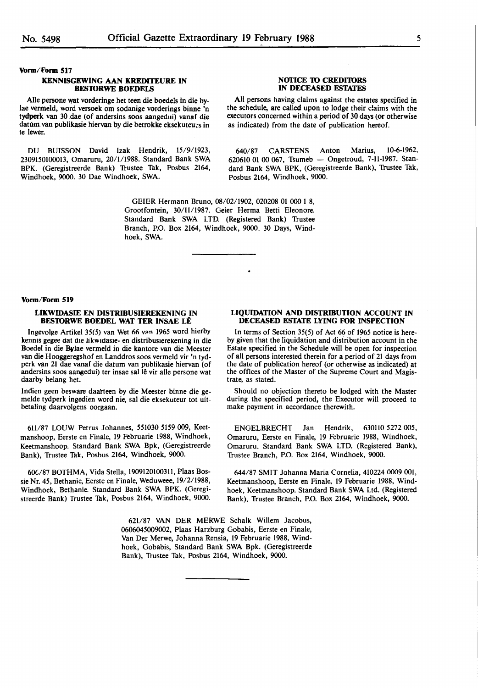**Vorm/Form 517** 

#### **KENNISGEWING AAN KREDITEURE IN BES10RWE BOEDELS**

Alie persone wat vorderinge het teen die boedels In die by-Iae vermeld, word versoek om sodanige vorderings binne 'n tydperk van 30 dae (of andersins soos aangedui) vanaf die datum van publikasie hiervan by die betrokke eksekuteu;s in te !ewer.

DU BUISSON David Izak Hendrik, 15/9/1923, 2309150100013, Omaruru, 20/1/1988. Standard Bank SWA BPK. (Geregistreerde Bank) Trustee Tak, Posbus 2164, Windhoek, 9000. 30 Dae Windhoek, SWA.

#### **NOTICE TO CREDITORS IN DECEASED ESTATES**

All persons having claims against the estates specified in the schedule, are called upon to lodge their claims with the executors concerned within a period of 30 days (or otherwise as indicated) from the date of publication hereof.

640/87 CARSTENS Anton Marius, 10-6-1962, 620610 01 00 067, Tsumeb  $-$  Ongetroud, 7-11-1987. Standard Bank SWA BPK, (Geregistreerde Bank), Trustee Tak, Posbus 2164, Windhoek, 9000.

GEIER Hermann Bruno, 08/02/1902, 020208 01 000 1 8, Grootfontein, 30/11/1987. Geier Herma Betti Eleonore. Standard Bank SWA LTD. (Registered Bank) Trustee Branch, P.O. Box 2164, Windhoek, 9000. 30 Days, Windhoek, SWA.

#### **Vorm/Form 519**

#### **LIKWIDASIE EN DISTRIBUSIEREKENING IN BESTORWE BOEDEL WAT TER INSAE LÊ**

Ingevolge Artikel 35(5) van Wet 66 van 1965 word hierby kennis gegee dat die likwidasie- en distribusierekening in die Boedel in die **Bflae** vermeld in die kantore van die Meester van die Hooggeregshof en Landdros soos vermeld vir 'n tydperk van 21 dae vanaf die datum van publikasie hiervan (of andersins soos aangedui) ter insae sal lê vir alle persone wat daarby belang het.

Indien geen besware daatteen by die Meester binne die gemelde tydperk ingedien word nie, sal die eksekuteur tot uitbetaling daarvolgens oorgaan.

611/87 LOUW Petrus Johannes, 551030 5159 009, Keetmanshoop, Eerste en Finale, 19 Februarie 1988, Windhoek, Keetmanshoop. Standard Bank SWA Bpk, (Geregistreerde Bank), Trustee Tak, Posbus 2164, Windhoek, 9000.

60C/87 BOTHMA, Vida Stella, 1909120100311, Plaas Bossie Nr. 45, Bethanie, Eerste en Finale, Weduweee, 19/2/1988, Windhoek, Bethanie. Standard Bank SWA BPK. (Geregistreerde Bank) Trustee Tak, Posbus 2164, Windhoek, 9000.

#### **LIQUIDATION AND DISTRIBUTION ACCOUNT IN DECEASED ESTATE LYING FOR INSPECTION**

In terms of Section 35(5) of Act 66 of 1965 notice is hereby given that the liquidation and distribution account in the Estate specified in the Schedule will be open for inspection of all persons interested therein for a period of 21 days from the date of publication hereof (or otherwise as indicated) at the offices of the Master of the Supreme Court and Magistrate, as stated.

Should no objection thereto be lodged with the Master during the specified period, the Executor will proceed to make payment in accordance therewith.

ENGELBRECHT Jan Hendrik, 630110 5272 005, Omaruru, Eerste en Finale, 19 Februarie 1988, Windhoek, Omaruru. Standard Bank SWA LTD. (Registered Bank), Trustee Branch, P.O. Box 2164, Windhoek, 9000.

644/87 SMIT Johanna Maria Cornelia, 410224 0009 001, Keetmanshoop, Eerste en Finale, 19 Februarie 1988, Windhoek, Keetmanshoop. Standard Bank SWA Ltd. (Registered Bank), Trustee Branch, P.O. Box 2164, Windhoek, 9000.

621/87 VAN DER MERWE Schalk Willem Jacobus, 0606045009002, Plaas Harzburg Gobabis, Eerste en Finale, Van Der Merwe, Johanna Rensia, 19 Februarie 1988, Windhoek, Gobabis, Standard Bank SWA Bpk. (Geregistreerde Bank), Trustee Tak, Posbus 2164, Windhoek, 9000.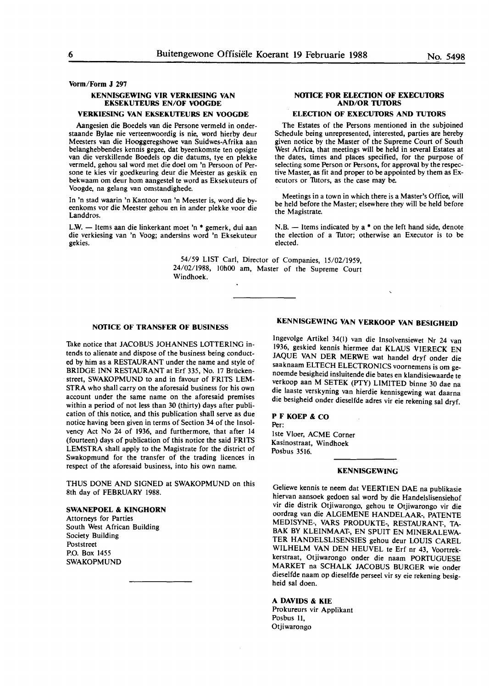**Vorm/Form J 297** 

### **KENNISGEWING VIR VERKIESING VAN EKSEKUTEURS EN/OF VOOGDE**

### **VERKIESING VAN EKSEKUTEURS EN VOOGDE**

Aangesien die Boedels van die Persone vermeld in onderstaande Bylae nie verteenwoordig is nie, **word** hierby deur Meesters van die Hooggeregshowe van Suidwes-Afrika aan belanghebbendes kennis gegee, dat byeenkomste ten opsigte **van** die verskillende Boedels op **die** datums, tye en **plekke**  vermeld, gehou sal word met die doe) om 'n Persoon of Persone te kies vir goedkeuring deur die Meester as geskik en bekwaam om deur horn aangestel te word as Eksekuteurs of Voogde, na gelang van omstandighede.

In 'n stad waarin 'n Kantoor van 'n Meester is, word die byeenkoms vor die Meester gehou en in ander plekke voor die Landdros.

L.W. - Items aan die linkerkant moet 'n \* gemerk, dui aan die verkiesing van 'n Voog; andersins word 'n Eksekuteur gekies.

#### **NOTICE FOR ELECTION OF EXECUTORS AND/OR TUTORS**

#### **ELECTION OF EXECUTORS AND TUTORS**

The Estates of **the** Persons mentioned in the subjoined Schedule being unrepresented, interested, parties **are** hereby given notice by the Master of the Supreme Court of South West Africa, that meetings will be held in several Estates at the dates, times and places specified, for the purpose of selecting some Person or Persons, for approval by the respective Master, as fit and proper to be appointed by them as Executors or Tutors, as the case may be.

Meetings in a town in which there is a Master's Office, will be held before the Master; elsewhere they will be held before the Magistrate.

 $N.B.$  — Items indicated by a  $*$  on the left hand side, denote the election of a Tutor; otherwise an Executor is to be elected.

54/59 LIST Carl, Director of Companies, 15/02/1959, 24/02/1988, 10h00 am, Master of the Supreme Court Windhoek.

#### **NOTICE OF TRANSFER OF BUSINESS**

Take notice that JACOBUS JOHANNES LOTTERING intends to alienate and dispose of the business being conducted by him as a RESTAURANT under the name and style of BRIDGE INN RESTAURANT at Erf 335, No. 17 Briickenstreet, SWAKOPMUND to and in favour of FRITS LEM-**STRA** who shall carry on the aforesaid business for his own account under the same name on the aforesaid premises within a period of not less than 30 (thirty) days after publication of this notice, and this publication shall serve as due notice having been given in terms of Section 34 of the Insolvency Act No 24 of 1936, and furthermore, that after 14 (fourteen) days of publication of this notice the said FRITS LEMSTRA shall apply to the Magistrate for the district of Swakopmund for the transfer of the trading licences in respect of the aforesaid business, into his own name.

THUS DONE AND SIGNED at SWAKOPMUND on this 8th day of FEBRUARY 1988.

#### **SWANEPOEL** & **KINGHORN**

Attorneys for Parties South West African Building Society Building **Poststreet** P.O. Box 1455 SWAKOPMUND

# **KENNISGEWING VAN VERKOOP VAN BESIGHEID**

lngevolge Artikel 34(1) van die lnsolvensiewet Nr 24 van 1936, geskied kennis hiermee dat KLAUS VIERECK EN JAQUE VAN DER MERWE wat handel dryf onder die saaknaam ELTECH ELECTRONICS voornemens is om genoemde besigheid insluitende die bates en klandisiewaarde te verkoop aan M SETEK (PTY) LIMITED binne 30 dae na die laaste verskyning van hierdie kennisgewing wat daarna die besigheid onder dieselfde adres vir eie rekening sal dryf.

#### **PF KOEP** & CO Per:

lste Vloer, ACME Corner Kasinostraat, Windhoek Posbus 3516.

#### **KENNISGEWING**

Geliewe kennis te neem dat VEERTIEN DAE na publikasie hiervan aansoek gedoen sal word by die Handelslisensiehof vir die distrik Otjiwarongo, gehou te Otjiwarongo vir die oordrag van die ALGEMENE HANDELAAR-, PATENTE MEDISYNE-, **VARS** PRODUKTE-, RESTAURANT-, **TA-**BAK **BY** KLEINMAAT-, EN SPUIT EN MINERALEWA-TER HANDELSLISENSIES gehou deur LOUIS CAREL WILHELM VAN DEN HEUVEL te Erf nr 43, Voortrekkerstraat, Otjiwarongo onder die naam PORTUGUESE MARKET na SCHALK JACOBUS BURGER wie onder dieselfde naam op dieselfde perseel vir sy eie rekening besigheid sal doen.

#### **A DAVIDS** & **KIE**

Prokureurs vir Applikant Posbus 11, Otjiwarongo